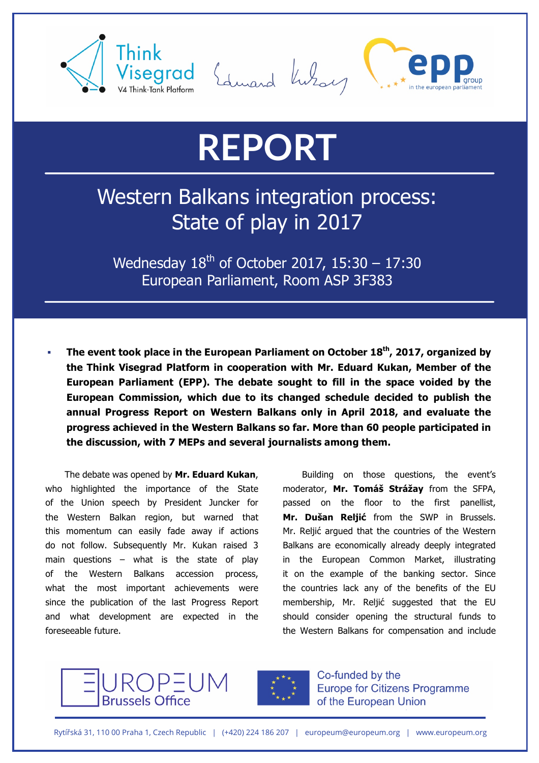



## **REPORT**

## Western Balkans integration process: State of play in 2017

Wednesday  $18^{th}$  of October 2017, 15:30 - 17:30 European Parliament, Room ASP 3F383

§ **The event took place in the European Parliament on October 18th, 2017, organized by the Think Visegrad Platform in cooperation with Mr. Eduard Kukan, Member of the European Parliament (EPP). The debate sought to fill in the space voided by the European Commission, which due to its changed schedule decided to publish the annual Progress Report on Western Balkans only in April 2018, and evaluate the progress achieved in the Western Balkans so far. More than 60 people participated in the discussion, with 7 MEPs and several journalists among them.**

The debate was opened by **Mr. Eduard Kukan**, who highlighted the importance of the State of the Union speech by President Juncker for the Western Balkan region, but warned that this momentum can easily fade away if actions do not follow. Subsequently Mr. Kukan raised 3 main questions – what is the state of play of the Western Balkans accession process, what the most important achievements were since the publication of the last Progress Report and what development are expected in the foreseeable future.

Building on those questions, the event's moderator, **Mr. Tomáš Strážay** from the SFPA, passed on the floor to the first panellist, **Mr. Dušan Reljić** from the SWP in Brussels. Mr. Reljić argued that the countries of the Western Balkans are economically already deeply integrated in the European Common Market, illustrating it on the example of the banking sector. Since the countries lack any of the benefits of the EU membership, Mr. Reljić suggested that the EU should consider opening the structural funds to the Western Balkans for compensation and include





Co-funded by the **Europe for Citizens Programme** of the European Union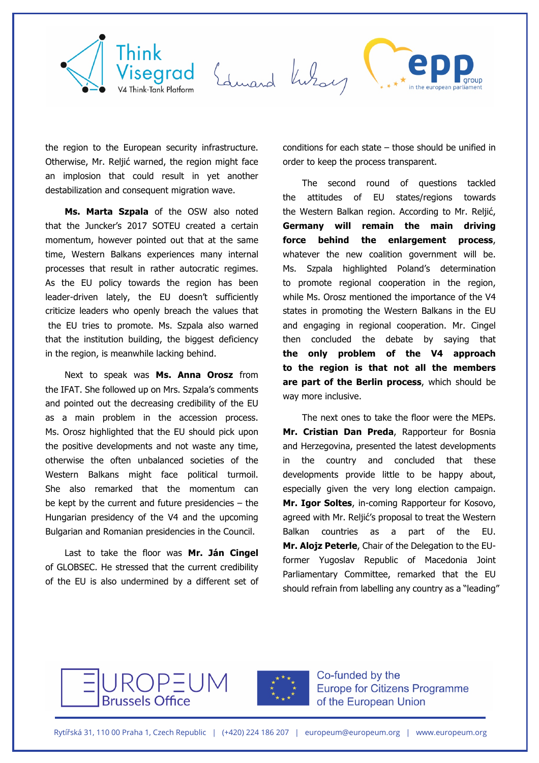

the region to the European security infrastructure. Otherwise, Mr. Reljić warned, the region might face an implosion that could result in yet another destabilization and consequent migration wave.

**Ms. Marta Szpala** of the OSW also noted that the Juncker's 2017 SOTEU created a certain momentum, however pointed out that at the same time, Western Balkans experiences many internal processes that result in rather autocratic regimes. As the EU policy towards the region has been leader-driven lately, the EU doesn't sufficiently criticize leaders who openly breach the values that the EU tries to promote. Ms. Szpala also warned that the institution building, the biggest deficiency in the region, is meanwhile lacking behind.

Next to speak was **Ms. Anna Orosz** from the IFAT. She followed up on Mrs. Szpala's comments and pointed out the decreasing credibility of the EU as a main problem in the accession process. Ms. Orosz highlighted that the EU should pick upon the positive developments and not waste any time, otherwise the often unbalanced societies of the Western Balkans might face political turmoil. She also remarked that the momentum can be kept by the current and future presidencies – the Hungarian presidency of the V4 and the upcoming Bulgarian and Romanian presidencies in the Council.

Last to take the floor was **Mr. Ján Cingel** of GLOBSEC. He stressed that the current credibility of the EU is also undermined by a different set of conditions for each state – those should be unified in order to keep the process transparent.

The second round of questions tackled the attitudes of EU states/regions towards the Western Balkan region. According to Mr. Reljić, **Germany will remain the main driving force behind the enlargement process**, whatever the new coalition government will be. Ms. Szpala highlighted Poland's determination to promote regional cooperation in the region, while Ms. Orosz mentioned the importance of the V4 states in promoting the Western Balkans in the EU and engaging in regional cooperation. Mr. Cingel then concluded the debate by saying that **the only problem of the V4 approach to the region is that not all the members are part of the Berlin process**, which should be way more inclusive.

The next ones to take the floor were the MEPs. **Mr. Cristian Dan Preda**, Rapporteur for Bosnia and Herzegovina, presented the latest developments the country and concluded that these developments provide little to be happy about, especially given the very long election campaign. **Mr. Igor Soltes**, in-coming Rapporteur for Kosovo, agreed with Mr. Reljić's proposal to treat the Western Balkan countries as a part of the EU. **Mr. Alojz Peterle**, Chair of the Delegation to the EUformer Yugoslav Republic of Macedonia Joint Parliamentary Committee, remarked that the EU should refrain from labelling any country as a "leading"





Co-funded by the **Europe for Citizens Programme** of the European Union